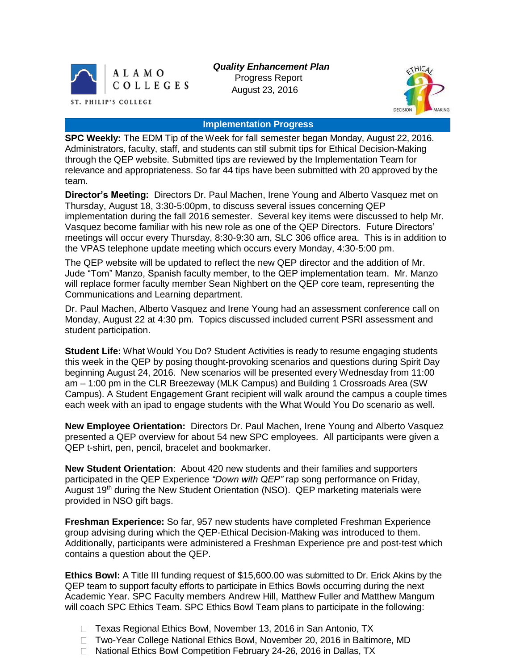

*Quality Enhancement Plan* Progress Report August 23, 2016



## **Implementation Progress**

**SPC Weekly:** The EDM Tip of the Week for fall semester began Monday, August 22, 2016. Administrators, faculty, staff, and students can still submit tips for Ethical Decision-Making through the QEP website. Submitted tips are reviewed by the Implementation Team for relevance and appropriateness. So far 44 tips have been submitted with 20 approved by the team.

**Director's Meeting:** Directors Dr. Paul Machen, Irene Young and Alberto Vasquez met on Thursday, August 18, 3:30-5:00pm, to discuss several issues concerning QEP implementation during the fall 2016 semester. Several key items were discussed to help Mr. Vasquez become familiar with his new role as one of the QEP Directors. Future Directors' meetings will occur every Thursday, 8:30-9:30 am, SLC 306 office area. This is in addition to the VPAS telephone update meeting which occurs every Monday, 4:30-5:00 pm.

The QEP website will be updated to reflect the new QEP director and the addition of Mr. Jude "Tom" Manzo, Spanish faculty member, to the QEP implementation team. Mr. Manzo will replace former faculty member Sean Nighbert on the QEP core team, representing the Communications and Learning department.

Dr. Paul Machen, Alberto Vasquez and Irene Young had an assessment conference call on Monday, August 22 at 4:30 pm. Topics discussed included current PSRI assessment and student participation.

**Student Life:** What Would You Do? Student Activities is ready to resume engaging students this week in the QEP by posing thought-provoking scenarios and questions during Spirit Day beginning August 24, 2016. New scenarios will be presented every Wednesday from 11:00 am – 1:00 pm in the CLR Breezeway (MLK Campus) and Building 1 Crossroads Area (SW Campus). A Student Engagement Grant recipient will walk around the campus a couple times each week with an ipad to engage students with the What Would You Do scenario as well.

**New Employee Orientation:** Directors Dr. Paul Machen, Irene Young and Alberto Vasquez presented a QEP overview for about 54 new SPC employees. All participants were given a QEP t-shirt, pen, pencil, bracelet and bookmarker.

**New Student Orientation**: About 420 new students and their families and supporters participated in the QEP Experience *"Down with QEP"* rap song performance on Friday, August 19<sup>th</sup> during the New Student Orientation (NSO). QEP marketing materials were provided in NSO gift bags.

**Freshman Experience:** So far, 957 new students have completed Freshman Experience group advising during which the QEP-Ethical Decision-Making was introduced to them. Additionally, participants were administered a Freshman Experience pre and post-test which contains a question about the QEP.

**Ethics Bowl:** A Title III funding request of \$15,600.00 was submitted to Dr. Erick Akins by the QEP team to support faculty efforts to participate in Ethics Bowls occurring during the next Academic Year. SPC Faculty members Andrew Hill, Matthew Fuller and Matthew Mangum will coach SPC Ethics Team. SPC Ethics Bowl Team plans to participate in the following:

- □ Texas Regional Ethics Bowl, November 13, 2016 in San Antonio, TX
- □ Two-Year College National Ethics Bowl, November 20, 2016 in Baltimore, MD
- □ National Ethics Bowl Competition February 24-26, 2016 in Dallas, TX